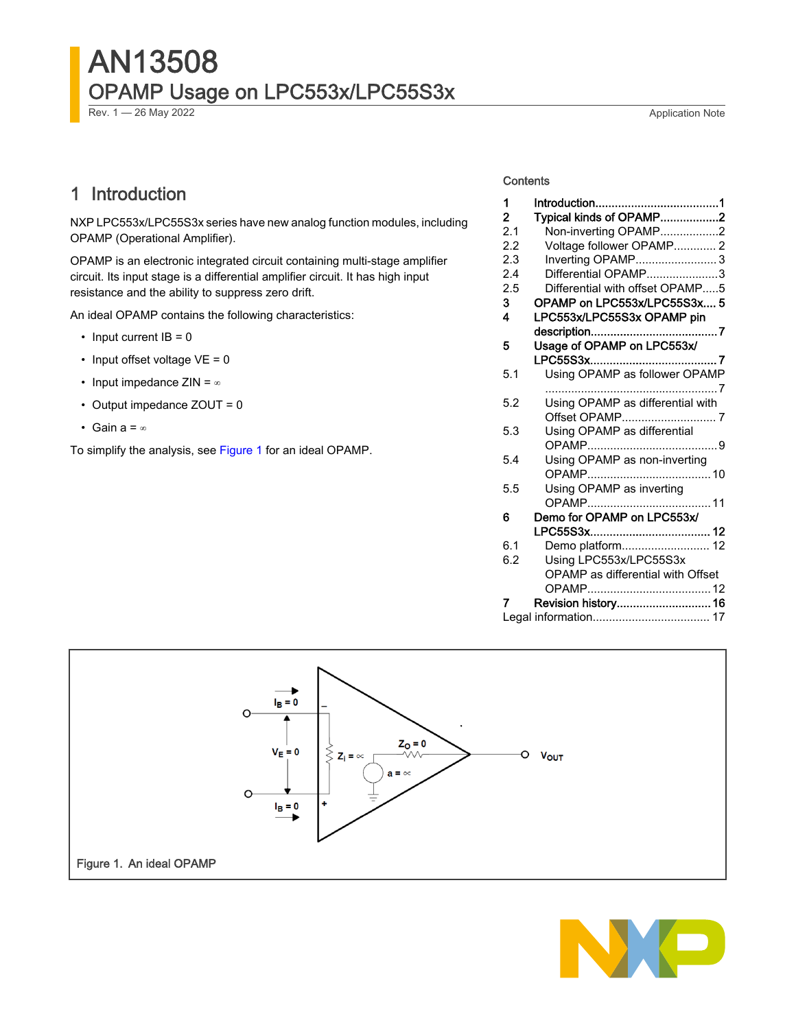# AN13508 OPAMP Usage on LPC553x/LPC55S3x

Rev. 1 — 26 May 2022 **Application Note** 

## 1 Introduction

NXP LPC553x/LPC55S3x series have new analog function modules, including OPAMP (Operational Amplifier).

OPAMP is an electronic integrated circuit containing multi-stage amplifier circuit. Its input stage is a differential amplifier circuit. It has high input resistance and the ability to suppress zero drift.

An ideal OPAMP contains the following characteristics:

- Input current  $IB = 0$
- Input offset voltage  $VE = 0$
- Input impedance ZIN = ∞
- Output impedance ZOUT = 0
- Gain a = ∞

To simplify the analysis, see Figure 1 for an ideal OPAMP.

#### **Contents**

| 1              |                                   |  |  |  |  |
|----------------|-----------------------------------|--|--|--|--|
| $\overline{2}$ | Typical kinds of OPAMP2           |  |  |  |  |
| 2.1            | Non-inverting OPAMP2              |  |  |  |  |
| 2.2            | Voltage follower OPAMP 2          |  |  |  |  |
| 2.3            | Inverting OPAMP3                  |  |  |  |  |
| 2.4            | Differential OPAMP3               |  |  |  |  |
| 2.5            | Differential with offset OPAMP5   |  |  |  |  |
| 3              | OPAMP on LPC553x/LPC55S3x 5       |  |  |  |  |
| 4              | LPC553x/LPC55S3x OPAMP pin        |  |  |  |  |
|                |                                   |  |  |  |  |
| 5              | Usage of OPAMP on LPC553x/        |  |  |  |  |
|                |                                   |  |  |  |  |
| 5.1            | Using OPAMP as follower OPAMP     |  |  |  |  |
| 5.2            | Using OPAMP as differential with  |  |  |  |  |
|                |                                   |  |  |  |  |
| 5.3            | Using OPAMP as differential       |  |  |  |  |
|                |                                   |  |  |  |  |
| 5.4            | Using OPAMP as non-inverting      |  |  |  |  |
|                |                                   |  |  |  |  |
| 5.5            | Using OPAMP as inverting          |  |  |  |  |
|                |                                   |  |  |  |  |
| 6              | Demo for OPAMP on LPC553x/        |  |  |  |  |
|                |                                   |  |  |  |  |
| 6.1            | Demo platform 12                  |  |  |  |  |
| 6.2            | Using LPC553x/LPC55S3x            |  |  |  |  |
|                | OPAMP as differential with Offset |  |  |  |  |
|                |                                   |  |  |  |  |
| 7              | Revision history 16               |  |  |  |  |
|                |                                   |  |  |  |  |
|                |                                   |  |  |  |  |



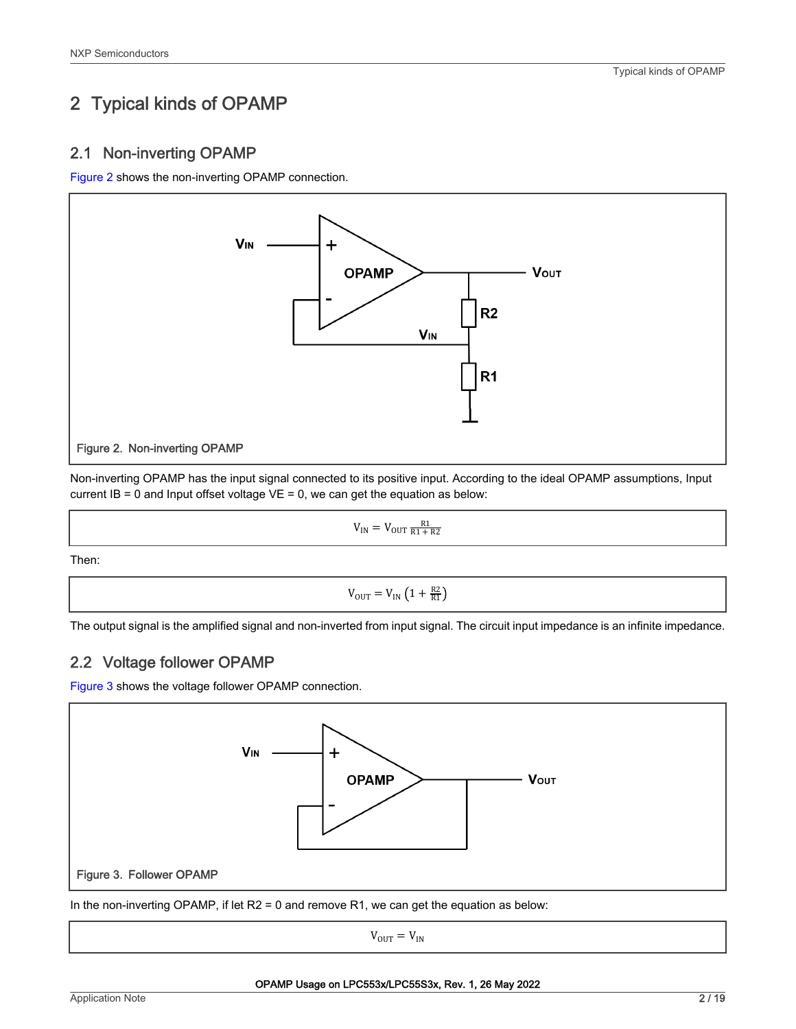# <span id="page-1-0"></span>2 Typical kinds of OPAMP

#### 2.1 Non-inverting OPAMP

Figure 2 shows the non-inverting OPAMP connection.



Non-inverting OPAMP has the input signal connected to its positive input. According to the ideal OPAMP assumptions, Input current  $IB = 0$  and Input offset voltage  $VE = 0$ , we can get the equation as below:

$$
V_{IN} = V_{OUT} \frac{R1}{R1 + R2}
$$

Then:

 $V_{\text{OUT}} = V_{\text{IN}} \left( 1 + \frac{R2}{R1} \right)$ 

The output signal is the amplified signal and non-inverted from input signal. The circuit input impedance is an infinite impedance.

#### 2.2 Voltage follower OPAMP

Figure 3 shows the voltage follower OPAMP connection.



In the non-inverting OPAMP, if let R2 = 0 and remove R1, we can get the equation as below:

 $V_{OUT} = V_{IN}$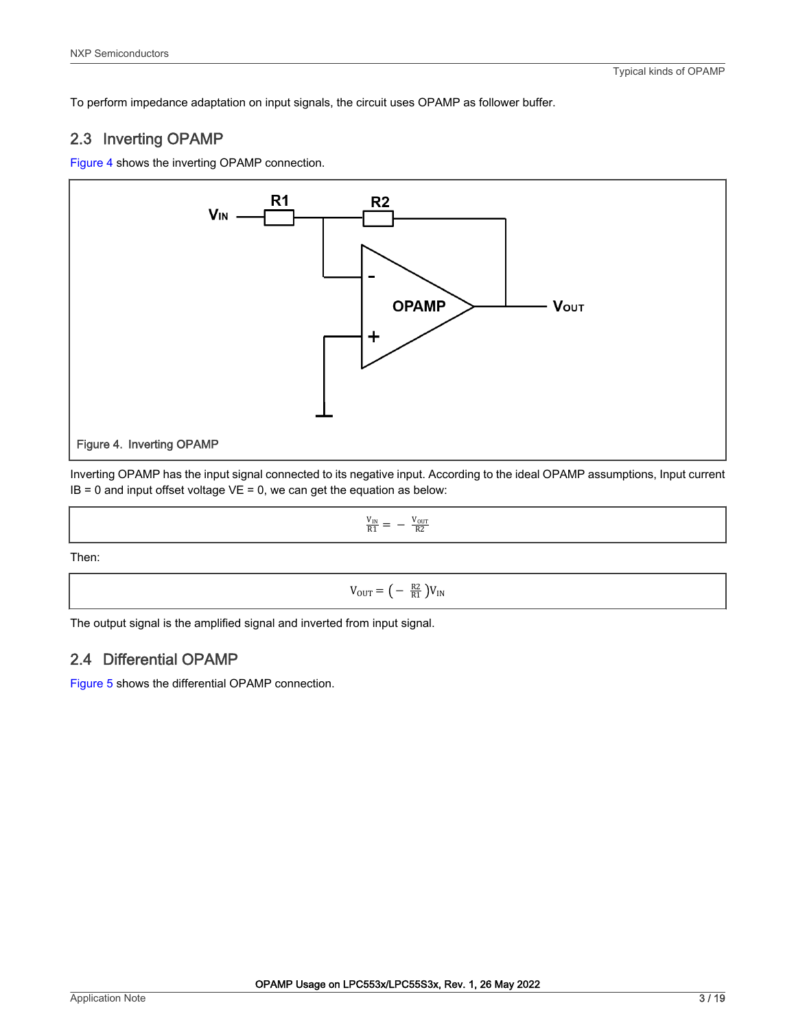<span id="page-2-0"></span>To perform impedance adaptation on input signals, the circuit uses OPAMP as follower buffer.

#### 2.3 Inverting OPAMP

Figure 4 shows the inverting OPAMP connection.



Inverting OPAMP has the input signal connected to its negative input. According to the ideal OPAMP assumptions, Input current  $IB = 0$  and input offset voltage  $VE = 0$ , we can get the equation as below:

$$
\frac{V_{IN}}{R1} = -\frac{V_{OUT}}{R2}
$$

Then:

### $V_{\text{OUT}} = \left( - \frac{R2}{R1} \right) V_{\text{IN}}$

The output signal is the amplified signal and inverted from input signal.

#### 2.4 Differential OPAMP

[Figure 5](#page-3-0) shows the differential OPAMP connection.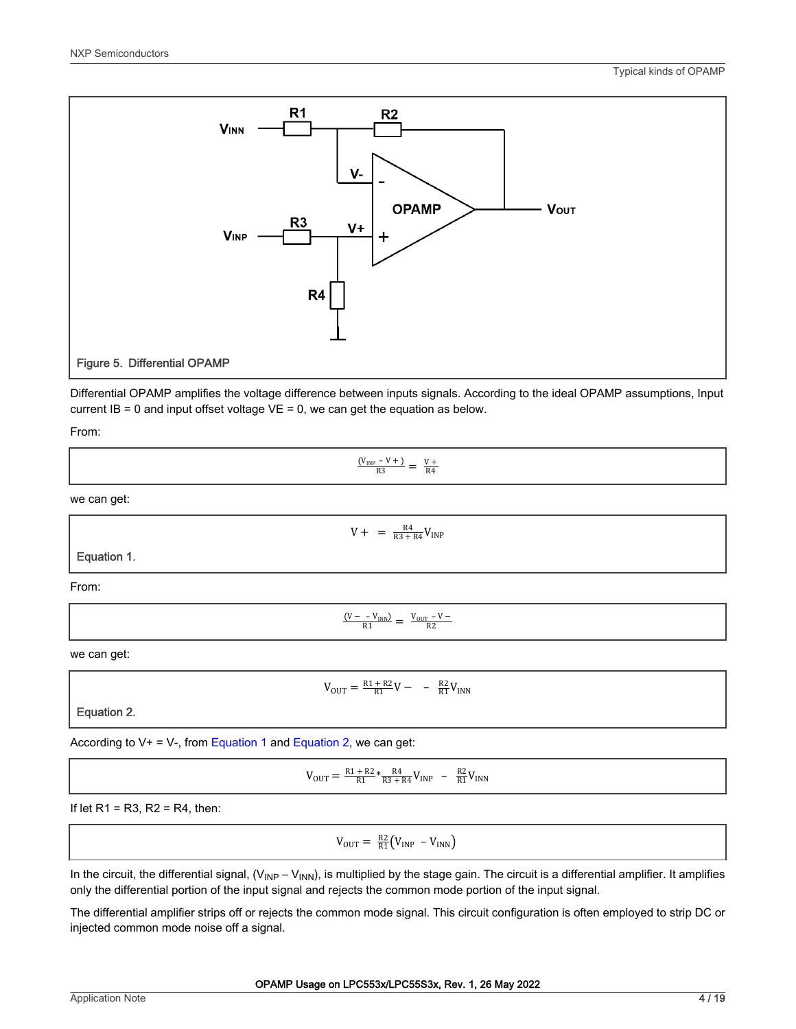<span id="page-3-0"></span>

Differential OPAMP amplifies the voltage difference between inputs signals. According to the ideal OPAMP assumptions, Input current  $IB = 0$  and input offset voltage  $VE = 0$ , we can get the equation as below.

From:

 $\frac{V_{INP} - V + V}{R3} = \frac{V + V}{R4}$ 

we can get:

Equation 1.

 $V + = \frac{R4}{R3 + R4}V_{INP}$ 

From:

 $\frac{V - -V_{INN}}{R1} = \frac{V_{OUT} - V -}{R2}$ 

we can get:

$$
V_{\text{OUT}}=\tfrac{R1+R2}{R1}V-\phantom{0}-\tfrac{R2}{R1}V_{\text{INN}}
$$

Equation 2.

According to  $V+ = V-$ , from Equation 1 and Equation 2, we can get:

$$
V_{\text{OUT}} = \frac{R1 + R2}{R1} * \frac{R4}{R3 + R4} V_{\text{INP}} - \frac{R2}{R1} V_{\text{INN}}
$$

If let  $R1 = R3$ ,  $R2 = R4$ , then:

 $V_{\text{OUT}} = \frac{R2}{R1} (V_{\text{INP}} - V_{\text{INN}})$ 

In the circuit, the differential signal,  $(V_{INP} - V_{INN})$ , is multiplied by the stage gain. The circuit is a differential amplifier. It amplifies only the differential portion of the input signal and rejects the common mode portion of the input signal.

The differential amplifier strips off or rejects the common mode signal. This circuit configuration is often employed to strip DC or injected common mode noise off a signal.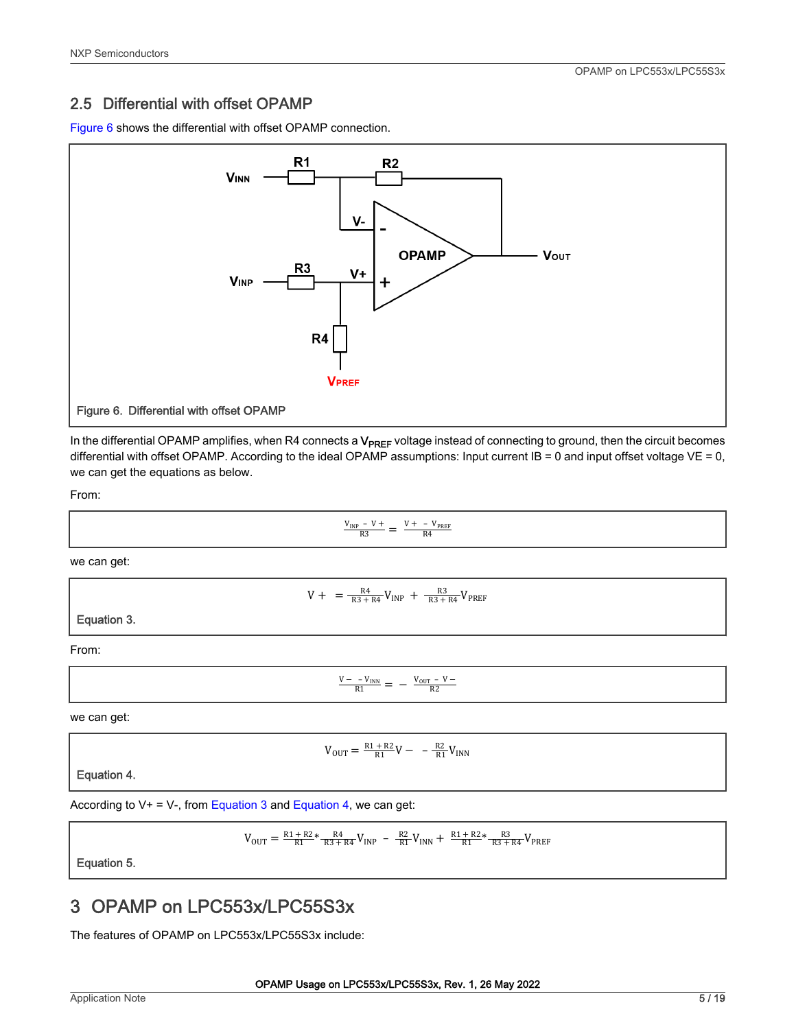#### <span id="page-4-0"></span>2.5 Differential with offset OPAMP

Figure 6 shows the differential with offset OPAMP connection.



In the differential OPAMP amplifies, when R4 connects a V<sub>PREF</sub> voltage instead of connecting to ground, then the circuit becomes differential with offset OPAMP. According to the ideal OPAMP assumptions: Input current IB = 0 and input offset voltage VE = 0, we can get the equations as below.

From:

$$
\frac{V_{\text{IMP}} - V +}{R3} = \frac{V + - V_{\text{PREF}}}{R4}
$$

we can get:

$$
V + = \frac{R4}{R3 + R4}V_{INP} + \frac{R3}{R3 + R4}V_{PREF}
$$

Equation 3.

From:

$$
\frac{V - -V_{INN}}{R1} = -\frac{V_{OUT} - V -}{R2}
$$

we can get:

$$
V_{\text{OUT}} = \frac{R1 + R2}{R1}V - -\frac{R2}{R1}V_{\text{INN}}
$$

Equation 4.

According to  $V_+ = V_-$ , from Equation 3 and Equation 4, we can get:

$$
V_{\rm OUT} = \tfrac{R1 + R2}{R1}*\tfrac{R4}{R3 + R4}V_{\rm INP} \ - \ \tfrac{R2}{R1}V_{\rm INN} \ + \ \tfrac{R1 + R2}{R1}*\tfrac{R3}{R3 + R4}V_{\rm PREF}
$$

Equation 5.

# 3 OPAMP on LPC553x/LPC55S3x

The features of OPAMP on LPC553x/LPC55S3x include: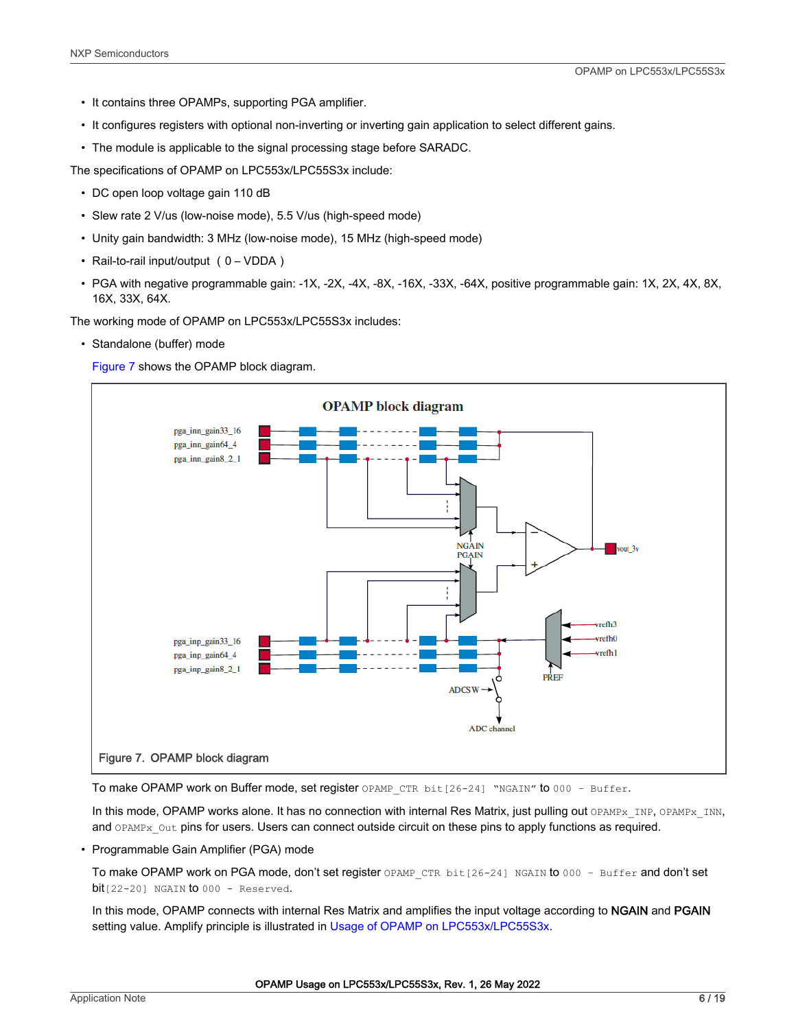- It contains three OPAMPs, supporting PGA amplifier.
- It configures registers with optional non-inverting or inverting gain application to select different gains.
- The module is applicable to the signal processing stage before SARADC.

The specifications of OPAMP on LPC553x/LPC55S3x include:

- DC open loop voltage gain 110 dB
- Slew rate 2 V/us (low-noise mode), 5.5 V/us (high-speed mode)
- Unity gain bandwidth: 3 MHz (low-noise mode), 15 MHz (high-speed mode)
- Rail-to-rail input/output (0 VDDA)
- PGA with negative programmable gain: -1X, -2X, -4X, -8X, -16X, -33X, -64X, positive programmable gain: 1X, 2X, 4X, 8X, 16X, 33X, 64X.

The working mode of OPAMP on LPC553x/LPC55S3x includes:

• Standalone (buffer) mode

Figure 7 shows the OPAMP block diagram.



To make OPAMP work on Buffer mode, set register OPAMP CTR bit[26-24] "NGAIN" to 000 - Buffer.

In this mode, OPAMP works alone. It has no connection with internal Res Matrix, just pulling out OPAMPx\_INP, OPAMPx\_INN, and OPAMPx Out pins for users. Users can connect outside circuit on these pins to apply functions as required.

• Programmable Gain Amplifier (PGA) mode

To make OPAMP work on PGA mode, don't set register OPAMP\_CTR\_bit[26-24] NGAIN to 000 - Buffer and don't set  $bit[22-20]$  NGAIN  $to$  000 - Reserved.

In this mode, OPAMP connects with internal Res Matrix and amplifies the input voltage according to NGAIN and PGAIN setting value. Amplify principle is illustrated in [Usage of OPAMP on LPC553x/LPC55S3x.](#page-6-0)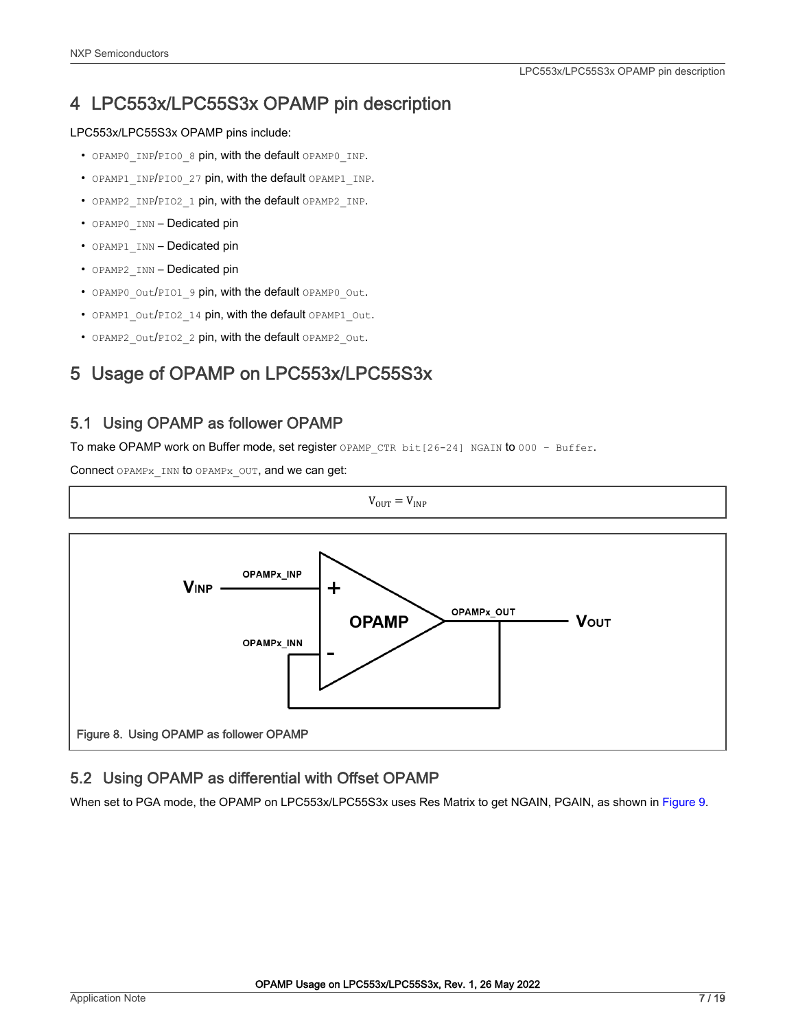# <span id="page-6-0"></span>4 LPC553x/LPC55S3x OPAMP pin description

#### LPC553x/LPC55S3x OPAMP pins include:

- OPAMPO INP/PIOO 8 pin, with the default OPAMPO INP.
- OPAMP1 INP/PIO0 27 pin, with the default OPAMP1 INP.
- OPAMP2 INP/PIO2 1 pin, with the default OPAMP2 INP.
- OPAMPO INN Dedicated pin
- OPAMP1\_INN Dedicated pin
- OPAMP2 INN Dedicated pin
- OPAMP0\_Out/PIO1\_9 pin, with the default OPAMP0\_Out.
- OPAMP1\_Out/PIO2\_14 pin, with the default OPAMP1\_Out.
- OPAMP2 Out/PIO2 2 pin, with the default OPAMP2 Out.

# 5 Usage of OPAMP on LPC553x/LPC55S3x

#### 5.1 Using OPAMP as follower OPAMP

To make OPAMP work on Buffer mode, set register OPAMP CTR bit[26-24] NGAIN to 000 - Buffer.

Connect OPAMPx INN to OPAMPx OUT, and we can get:



#### 5.2 Using OPAMP as differential with Offset OPAMP

When set to PGA mode, the OPAMP on LPC553x/LPC55S3x uses Res Matrix to get NGAIN, PGAIN, as shown in [Figure 9.](#page-7-0)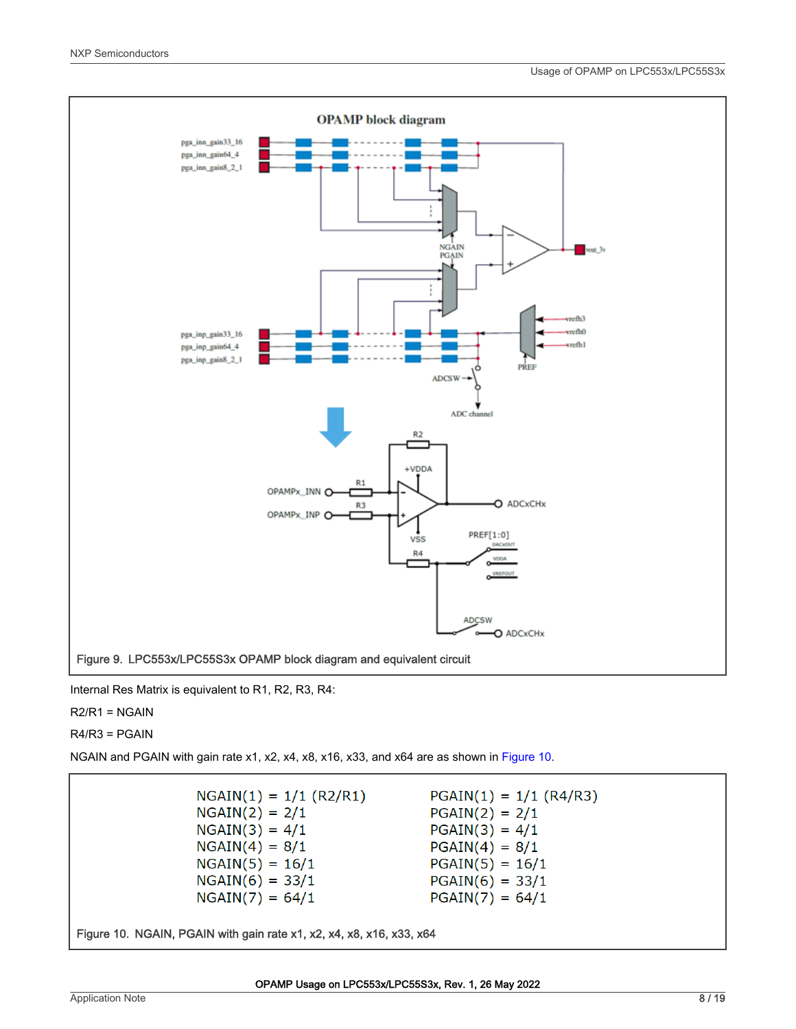<span id="page-7-0"></span>

Internal Res Matrix is equivalent to R1, R2, R3, R4:

 $R2/R1 = NGAIN$ 

R4/R3 = PGAIN

NGAIN and PGAIN with gain rate x1, x2, x4, x8, x16, x33, and x64 are as shown in Figure 10.

 $NGAIN(1) = 1/1 (R2/R1)$  $PGAIN(1) = 1/1 (R4/R3)$  $NGAIN(2) = 2/1$  $PGAIN(2) = 2/1$  $NGAIN(3) = 4/1$  $PGAIN(3) = 4/1$  $NGAIN(4) = 8/1$  $PGAIN(4) = 8/1$  $NGAIN(5) = 16/1$  $PGAIN(5) = 16/1$  $NGAIN(6) = 33/1$  $PGAIN(6) = 33/1$  $NGAIN(7) = 64/1$  $PGAIN(7) = 64/1$ 

Figure 10. NGAIN, PGAIN with gain rate x1, x2, x4, x8, x16, x33, x64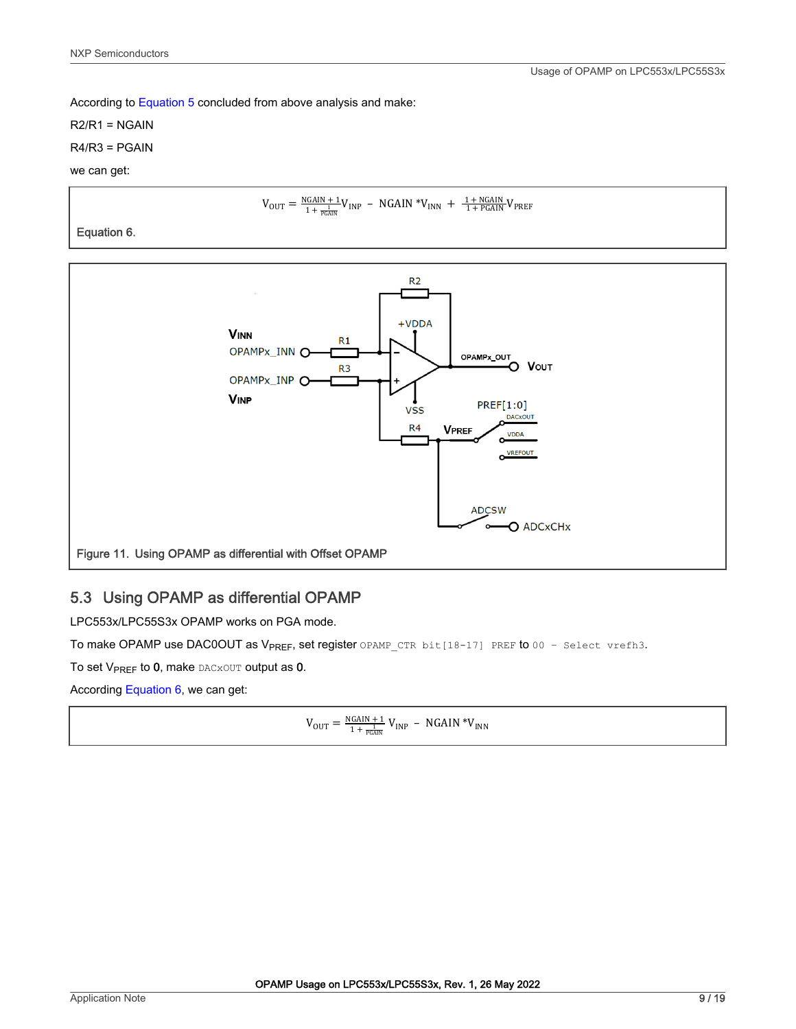<span id="page-8-0"></span>According to [Equation 5](#page-4-0) concluded from above analysis and make:

R2/R1 = NGAIN

R4/R3 = PGAIN

we can get:

$$
V_{\text{OUT}} = \frac{N\text{GAIN} + 1}{1 + \frac{1}{\text{PGAN}}} V_{\text{INP}} - N\text{GAIN}^* V_{\text{INN}} + \frac{1 + N\text{GAIN}}{1 + \text{PGAN}} V_{\text{PREF}}
$$

Equation 6.



#### 5.3 Using OPAMP as differential OPAMP

LPC553x/LPC55S3x OPAMP works on PGA mode.

To make OPAMP use DAC0OUT as V<sub>PREF</sub>, set register OPAMP CTR bit[18-17] PREF to 00 - Select vrefh3.

To set  $V_{PREF}$  to 0, make DACXOUT output as 0.

According Equation 6, we can get:

$$
V_{OUT} = \tfrac{NGAIN + 1}{1 + \tfrac{1}{PGAIN}} \, V_{INP} \, - \, NGAIN \, {^*V}_{INN}
$$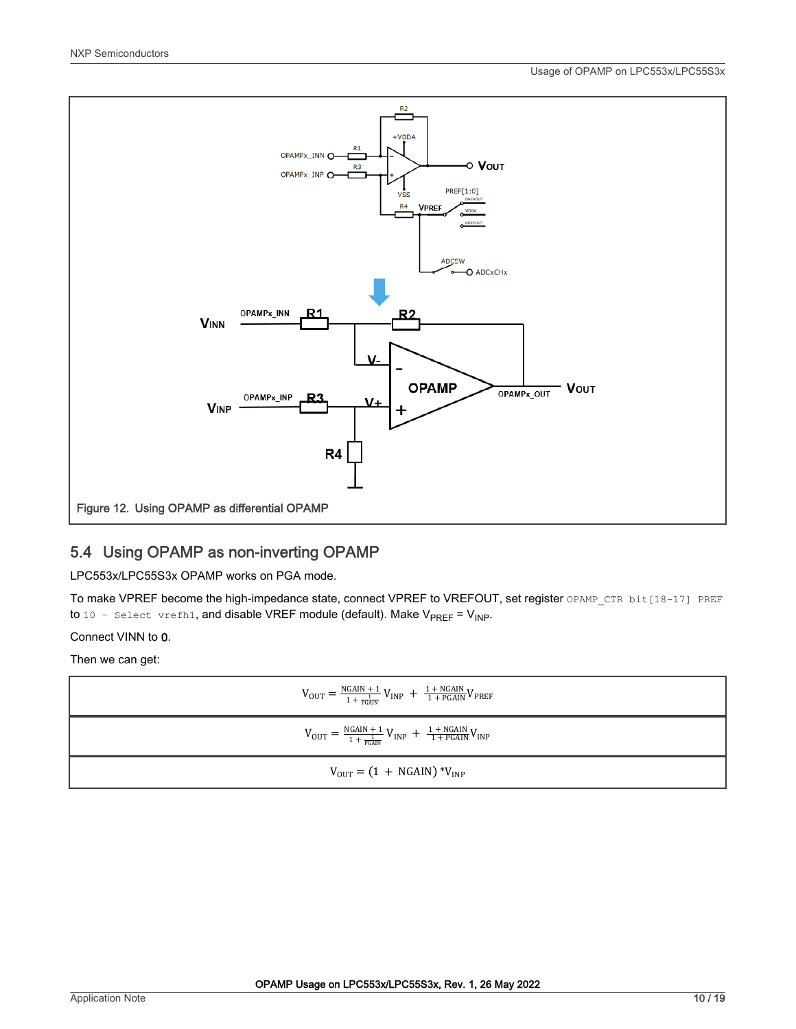<span id="page-9-0"></span>

#### 5.4 Using OPAMP as non-inverting OPAMP

LPC553x/LPC55S3x OPAMP works on PGA mode.

To make VPREF become the high-impedance state, connect VPREF to VREFOUT, set register OPAMP\_CTR bit[18-17] PREF to  $10$  - select vrefh1, and disable VREF module (default). Make V<sub>PREF</sub> = V<sub>INP</sub>.

Connect VINN to 0.

Then we can get:

| $V_{\text{OUT}} = \frac{\text{NGAIN} + 1}{1 + \frac{1}{\text{PGAN}}} V_{\text{INP}} + \frac{1 + \text{NGAIN}}{1 + \text{PGAIN}} V_{\text{PREF}}$     |
|------------------------------------------------------------------------------------------------------------------------------------------------------|
| $V_{\text{OUT}} = \frac{N \text{GAIN} + 1}{1 + \frac{1}{P \text{GAIN}}} V_{\text{INP}} + \frac{1 + N \text{GAIN}}{1 + P \text{GAIN}} V_{\text{INP}}$ |
| $V_{\text{OUT}} = (1 + \text{NGAIN}) * V_{\text{INP}}$                                                                                               |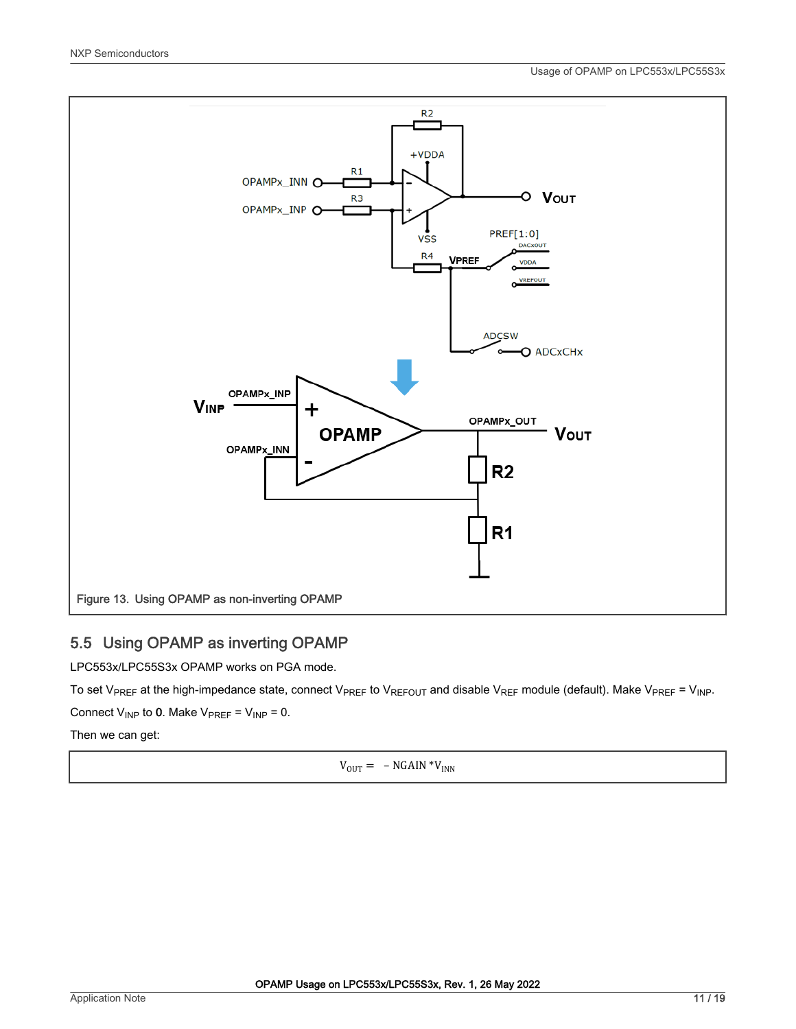<span id="page-10-0"></span>

#### 5.5 Using OPAMP as inverting OPAMP

LPC553x/LPC55S3x OPAMP works on PGA mode.

To set V<sub>PREF</sub> at the high-impedance state, connect V<sub>PREF</sub> to V<sub>REFOUT</sub> and disable V<sub>REF</sub> module (default). Make V<sub>PREF</sub> = V<sub>INP</sub>.

Connect  $V_{INP}$  to 0. Make  $V_{PREF} = V_{INP} = 0$ .

Then we can get:

 $V_{OUT} = -NGAIN *V_{INN}$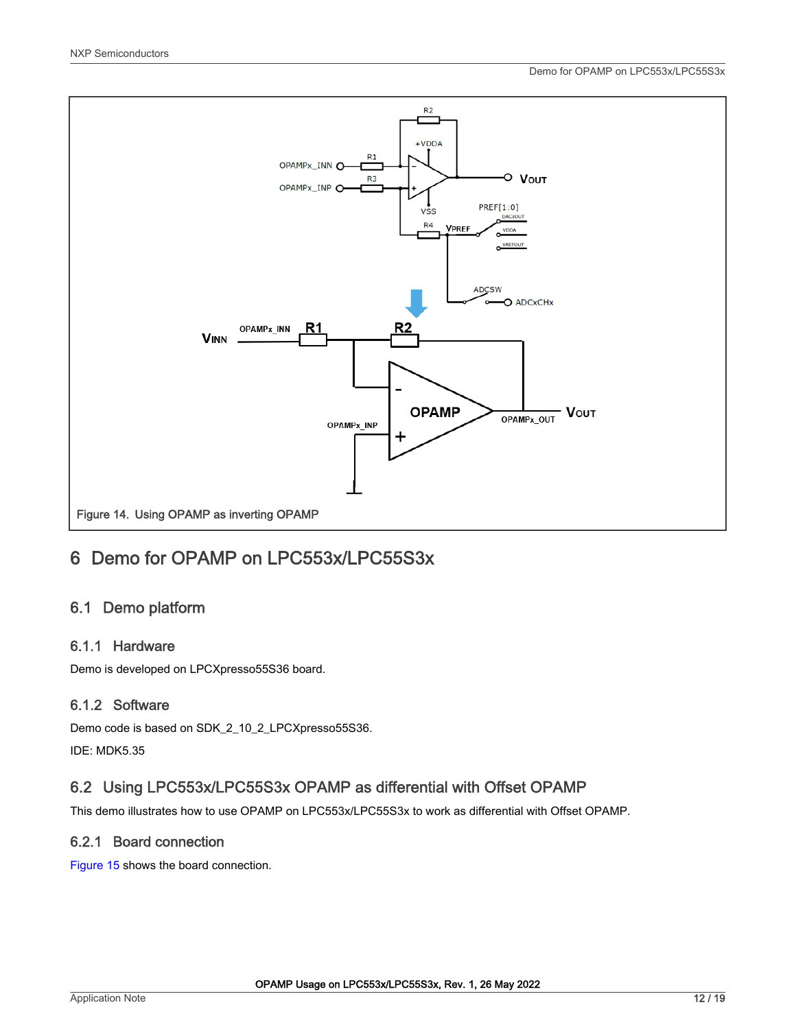<span id="page-11-0"></span>

# 6 Demo for OPAMP on LPC553x/LPC55S3x

#### 6.1 Demo platform

#### 6.1.1 Hardware

Demo is developed on LPCXpresso55S36 board.

#### 6.1.2 Software

Demo code is based on SDK\_2\_10\_2\_LPCXpresso55S36. IDE: MDK5.35

#### 6.2 Using LPC553x/LPC55S3x OPAMP as differential with Offset OPAMP

This demo illustrates how to use OPAMP on LPC553x/LPC55S3x to work as differential with Offset OPAMP.

#### 6.2.1 Board connection

[Figure 15](#page-12-0) shows the board connection.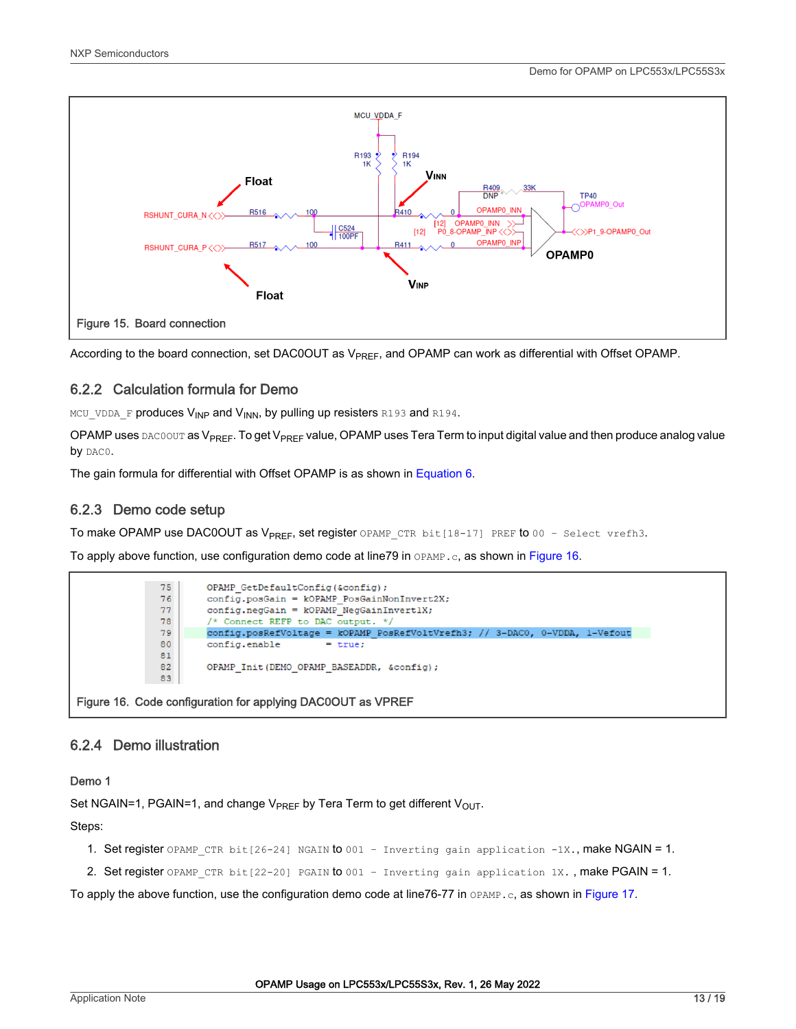<span id="page-12-0"></span>

According to the board connection, set DAC0OUT as V<sub>PREF</sub>, and OPAMP can work as differential with Offset OPAMP.

#### 6.2.2 Calculation formula for Demo

MCU\_VDDA\_F produces V<sub>INP</sub> and V<sub>INN</sub>, by pulling up resisters R193 and R194.

OPAMP uses DAC0OUT as V<sub>PREF</sub>. To get V<sub>PREF</sub> value, OPAMP uses Tera Term to input digital value and then produce analog value by DACO.

The gain formula for differential with Offset OPAMP is as shown in [Equation 6](#page-8-0).

#### 6.2.3 Demo code setup

To make OPAMP use DAC0OUT as V<sub>PREF</sub>, set register OPAMP\_CTR bit[18-17] PREF to 00 - Select vrefh3.

To apply above function, use configuration demo code at line79 in OPAMP.c, as shown in Figure 16.



#### 6.2.4 Demo illustration

Demo 1

Set NGAIN=1, PGAIN=1, and change  $V_{PREF}$  by Tera Term to get different  $V_{OUT}$ .

Steps:

- 1. Set register OPAMP\_CTR bit[26-24] NGAIN to 001 Inverting gain application -1X., make NGAIN = 1.
- 2. Set register OPAMP\_CTR bit[22-20] PGAIN to 001 Inverting gain application 1X., make PGAIN = 1.

To apply the above function, use the configuration demo code at line76-77 in OPAMP.c, as shown in [Figure 17](#page-13-0).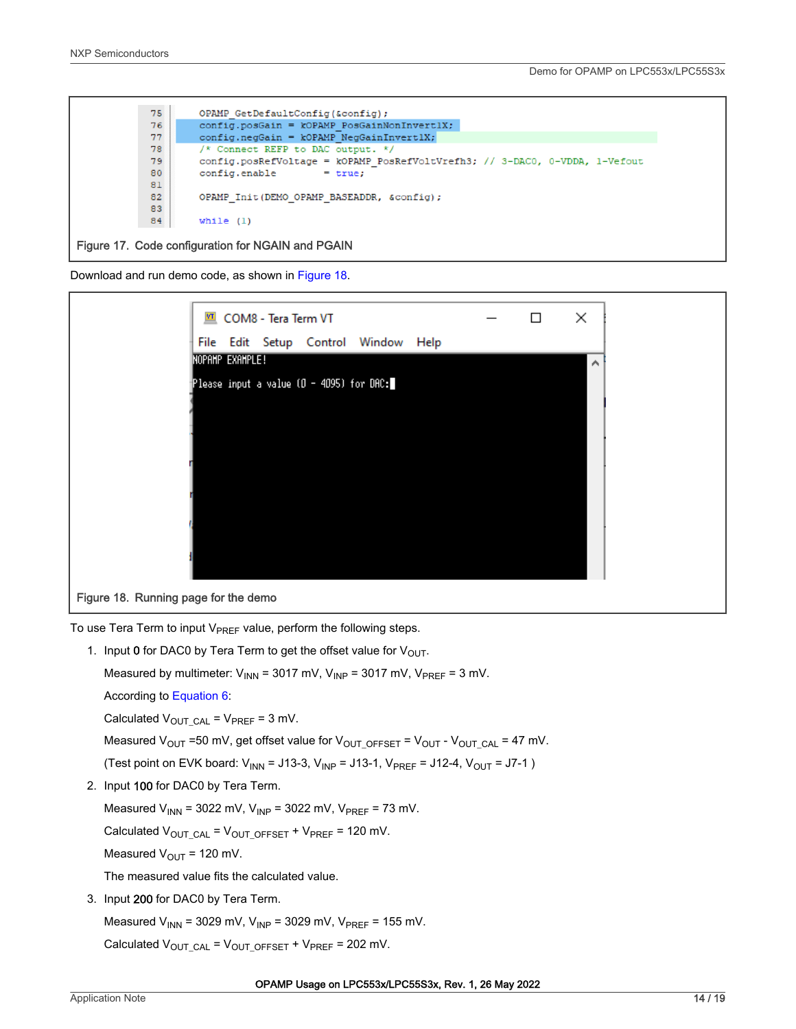<span id="page-13-0"></span>

Download and run demo code, as shown in Figure 18.



To use Tera Term to input  $V_{PREF}$  value, perform the following steps.

1. Input 0 for DAC0 by Tera Term to get the offset value for  $V_{\text{OUT}}$ . Measured by multimeter:  $V_{INN}$  = 3017 mV,  $V_{INP}$  = 3017 mV,  $V_{PREF}$  = 3 mV. According to [Equation 6:](#page-8-0) Calculated  $V_{\text{OUT CAL}} = V_{\text{PREF}} = 3 \text{ mV}$ . Measured  $V_{OUT}$  =50 mV, get offset value for  $V_{OUT\_OFFSET}$  =  $V_{OUT}$  -  $V_{OUT\_CAL}$  = 47 mV. (Test point on EVK board:  $V_{INN}$  = J13-3,  $V_{INP}$  = J13-1,  $V_{PREF}$  = J12-4,  $V_{OUT}$  = J7-1) 2. Input 100 for DAC0 by Tera Term. Measured  $V_{INN}$  = 3022 mV,  $V_{INP}$  = 3022 mV,  $V_{PREF}$  = 73 mV. Calculated  $V_{\text{OUT CAL}} = V_{\text{OUT OFF}} + V_{\text{PREF}} = 120 \text{ mV}$ . Measured  $V_{\text{OUT}}$  = 120 mV. The measured value fits the calculated value. 3. Input 200 for DAC0 by Tera Term.

Measured  $V_{INN}$  = 3029 mV,  $V_{INP}$  = 3029 mV,  $V_{PREF}$  = 155 mV. Calculated  $V_{\text{OUT CAL}} = V_{\text{OUT OFF}} + V_{\text{PREF}} = 202 \text{ mV}$ .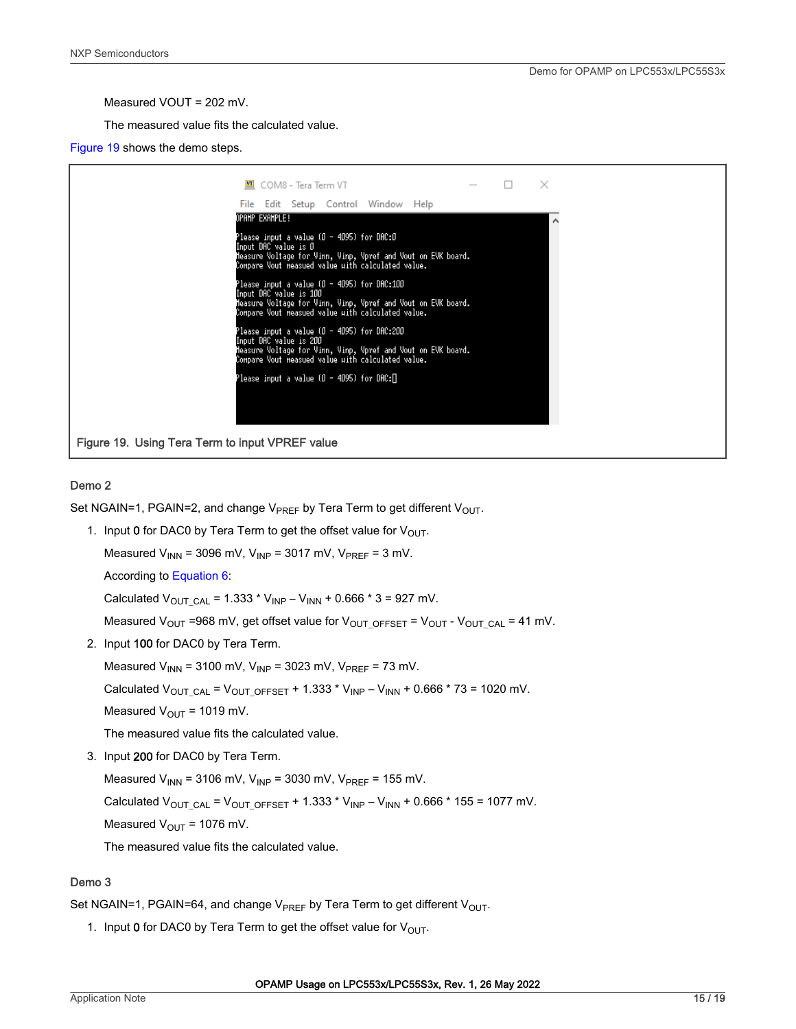Measured VOUT = 202 mV.

The measured value fits the calculated value.

Figure 19 shows the demo steps.

|                                                 | COM8 - Tera Term VT                                                                                                                                                                        |  |  | $\times$ |  |
|-------------------------------------------------|--------------------------------------------------------------------------------------------------------------------------------------------------------------------------------------------|--|--|----------|--|
|                                                 | File Edit Setup Control Window Help                                                                                                                                                        |  |  |          |  |
|                                                 | Opahp example!                                                                                                                                                                             |  |  |          |  |
|                                                 | Please input a value (Ø – 4095) for DAC:Ø<br>Input DAC value is O<br>leasure Voltage for Vinn, Vinp, Vpref and Vout on EVK board.<br>Compare Vout measued value with calculated value.     |  |  |          |  |
|                                                 | Please input a value (Ø – 4095) for DAC:100<br>Input DAC value is 100<br>leasure Voltage for Vinn, Vinp, Vpref and Vout on EVK board.<br>Compare Vout measued value with calculated value. |  |  |          |  |
|                                                 | Please input a value (Ø – 4095) for DAC:200<br>Input DAC value is 200<br>leasure Voltage for Vinn, Vinp, Vpref and Vout on EVK board.<br>Compare Vout measued value with calculated value. |  |  |          |  |
|                                                 | Please input a value (Ø – 4095) for DAC:∏                                                                                                                                                  |  |  |          |  |
|                                                 |                                                                                                                                                                                            |  |  |          |  |
| Figure 19. Using Tera Term to input VPREF value |                                                                                                                                                                                            |  |  |          |  |

#### Demo 2

Set NGAIN=1, PGAIN=2, and change  $V_{PREF}$  by Tera Term to get different  $V_{OUT}$ .

1. Input 0 for DAC0 by Tera Term to get the offset value for  $V_{\text{OUT}}$ .

Measured  $V_{INN}$  = 3096 mV,  $V_{INP}$  = 3017 mV,  $V_{PREF}$  = 3 mV.

According to [Equation 6:](#page-8-0)

Calculated  $V_{\text{OUT CAL}} = 1.333 * V_{\text{IMP}} - V_{\text{INN}} + 0.666 * 3 = 927 \text{ mV}.$ 

Measured  $V_{\text{OUT}}$  =968 mV, get offset value for  $V_{\text{OUT}}$  of  $F_{\text{OUT}}$  =  $V_{\text{OUT}}$  -  $V_{\text{OUT}}$  = 41 mV.

2. Input 100 for DAC0 by Tera Term.

Measured  $V_{INN}$  = 3100 mV,  $V_{INP}$  = 3023 mV,  $V_{PREF}$  = 73 mV.

Calculated  $V_{\text{OUT CAL}} = V_{\text{OUT OFFSET}} + 1.333 * V_{\text{INP}} - V_{\text{INN}} + 0.666 * 73 = 1020 \text{ mV}$ .

Measured  $V_{\text{OUT}} = 1019 \text{ mV}$ .

The measured value fits the calculated value.

3. Input 200 for DAC0 by Tera Term.

Measured  $V_{INN}$  = 3106 mV,  $V_{INP}$  = 3030 mV,  $V_{PREF}$  = 155 mV.

Calculated  $V_{\text{OUT CAL}} = V_{\text{OUT OFFSET}} + 1.333 * V_{\text{IMP}} - V_{\text{INN}} + 0.666 * 155 = 1077 \text{ mV}$ .

Measured  $V_{\text{OUT}}$  = 1076 mV.

The measured value fits the calculated value.

#### Demo 3

Set NGAIN=1, PGAIN=64, and change  $V_{PREF}$  by Tera Term to get different  $V_{OUT}$ .

1. Input 0 for DAC0 by Tera Term to get the offset value for  $V_{\text{OUT}}$ .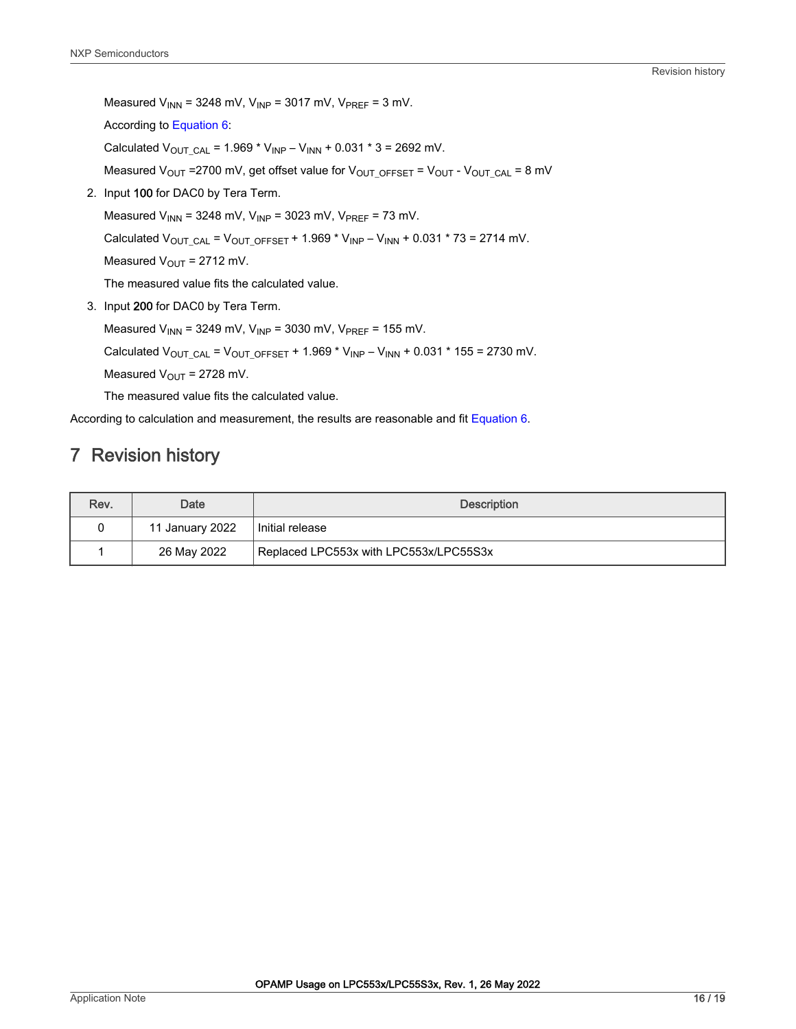Revision history

<span id="page-15-0"></span>Measured  $V_{INN}$  = 3248 mV,  $V_{INP}$  = 3017 mV,  $V_{PREF}$  = 3 mV. According to [Equation 6:](#page-8-0)

Calculated  $V_{\text{OUT CAL}} = 1.969 * V_{\text{INP}} - V_{\text{INN}} + 0.031 * 3 = 2692 \text{ mV}.$ 

Measured V<sub>OUT</sub> =2700 mV, get offset value for V<sub>OUT\_OFFSET</sub> = V<sub>OUT</sub> - V<sub>OUT\_CAL</sub> = 8 mV

2. Input 100 for DAC0 by Tera Term.

Measured  $V_{INN}$  = 3248 mV,  $V_{INP}$  = 3023 mV,  $V_{PREF}$  = 73 mV.

Calculated  $V_{\text{OUT\_CAL}} = V_{\text{OUT\_OFFSET}} + 1.969 * V_{\text{INP}} - V_{\text{INN}} + 0.031 * 73 = 2714 \text{ mV}.$ 

Measured  $V_{\text{OUT}}$  = 2712 mV.

The measured value fits the calculated value.

3. Input 200 for DAC0 by Tera Term.

Measured  $V_{INN}$  = 3249 mV,  $V_{INP}$  = 3030 mV,  $V_{PREF}$  = 155 mV.

Calculated  $V_{\text{OUT\_CAL}} = V_{\text{OUT\_OFFSET}} + 1.969 * V_{\text{INP}} - V_{\text{INN}} + 0.031 * 155 = 2730 \text{ mV}.$ 

Measured  $V_{\text{OUT}}$  = 2728 mV.

The measured value fits the calculated value.

According to calculation and measurement, the results are reasonable and fit [Equation 6.](#page-8-0)

# 7 Revision history

| Rev. | Date            | <b>Description</b>                     |  |  |
|------|-----------------|----------------------------------------|--|--|
|      | 11 January 2022 | Initial release                        |  |  |
|      | 26 May 2022     | Replaced LPC553x with LPC553x/LPC55S3x |  |  |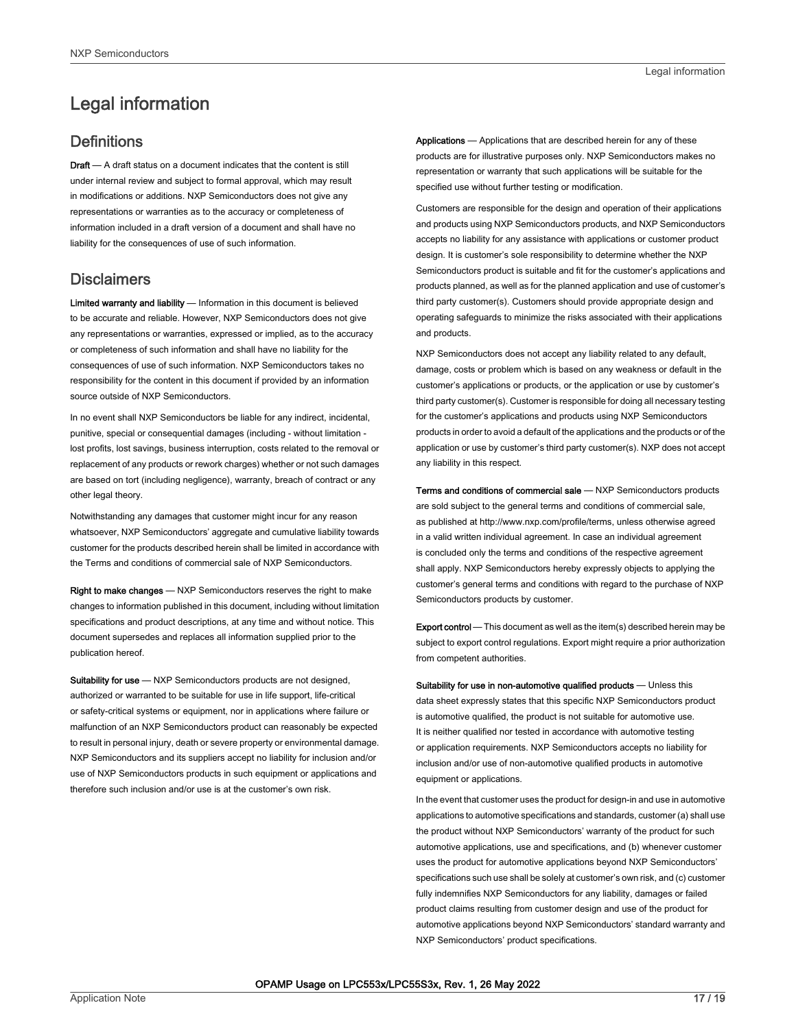# <span id="page-16-0"></span>Legal information

#### **Definitions**

Draft - A draft status on a document indicates that the content is still under internal review and subject to formal approval, which may result in modifications or additions. NXP Semiconductors does not give any representations or warranties as to the accuracy or completeness of information included in a draft version of a document and shall have no liability for the consequences of use of such information.

#### **Disclaimers**

Limited warranty and liability - Information in this document is believed to be accurate and reliable. However, NXP Semiconductors does not give any representations or warranties, expressed or implied, as to the accuracy or completeness of such information and shall have no liability for the consequences of use of such information. NXP Semiconductors takes no responsibility for the content in this document if provided by an information source outside of NXP Semiconductors.

In no event shall NXP Semiconductors be liable for any indirect, incidental, punitive, special or consequential damages (including - without limitation lost profits, lost savings, business interruption, costs related to the removal or replacement of any products or rework charges) whether or not such damages are based on tort (including negligence), warranty, breach of contract or any other legal theory.

Notwithstanding any damages that customer might incur for any reason whatsoever, NXP Semiconductors' aggregate and cumulative liability towards customer for the products described herein shall be limited in accordance with the Terms and conditions of commercial sale of NXP Semiconductors.

Right to make changes — NXP Semiconductors reserves the right to make changes to information published in this document, including without limitation specifications and product descriptions, at any time and without notice. This document supersedes and replaces all information supplied prior to the publication hereof.

Suitability for use - NXP Semiconductors products are not designed, authorized or warranted to be suitable for use in life support, life-critical or safety-critical systems or equipment, nor in applications where failure or malfunction of an NXP Semiconductors product can reasonably be expected to result in personal injury, death or severe property or environmental damage. NXP Semiconductors and its suppliers accept no liability for inclusion and/or use of NXP Semiconductors products in such equipment or applications and therefore such inclusion and/or use is at the customer's own risk.

Applications — Applications that are described herein for any of these products are for illustrative purposes only. NXP Semiconductors makes no representation or warranty that such applications will be suitable for the specified use without further testing or modification.

Customers are responsible for the design and operation of their applications and products using NXP Semiconductors products, and NXP Semiconductors accepts no liability for any assistance with applications or customer product design. It is customer's sole responsibility to determine whether the NXP Semiconductors product is suitable and fit for the customer's applications and products planned, as well as for the planned application and use of customer's third party customer(s). Customers should provide appropriate design and operating safeguards to minimize the risks associated with their applications and products.

NXP Semiconductors does not accept any liability related to any default, damage, costs or problem which is based on any weakness or default in the customer's applications or products, or the application or use by customer's third party customer(s). Customer is responsible for doing all necessary testing for the customer's applications and products using NXP Semiconductors products in order to avoid a default of the applications and the products or of the application or use by customer's third party customer(s). NXP does not accept any liability in this respect.

Terms and conditions of commercial sale — NXP Semiconductors products are sold subject to the general terms and conditions of commercial sale, as published at http://www.nxp.com/profile/terms, unless otherwise agreed in a valid written individual agreement. In case an individual agreement is concluded only the terms and conditions of the respective agreement shall apply. NXP Semiconductors hereby expressly objects to applying the customer's general terms and conditions with regard to the purchase of NXP Semiconductors products by customer.

Export control - This document as well as the item(s) described herein may be subject to export control regulations. Export might require a prior authorization from competent authorities.

Suitability for use in non-automotive qualified products - Unless this data sheet expressly states that this specific NXP Semiconductors product is automotive qualified, the product is not suitable for automotive use. It is neither qualified nor tested in accordance with automotive testing or application requirements. NXP Semiconductors accepts no liability for inclusion and/or use of non-automotive qualified products in automotive equipment or applications.

In the event that customer uses the product for design-in and use in automotive applications to automotive specifications and standards, customer (a) shall use the product without NXP Semiconductors' warranty of the product for such automotive applications, use and specifications, and (b) whenever customer uses the product for automotive applications beyond NXP Semiconductors' specifications such use shall be solely at customer's own risk, and (c) customer fully indemnifies NXP Semiconductors for any liability, damages or failed product claims resulting from customer design and use of the product for automotive applications beyond NXP Semiconductors' standard warranty and NXP Semiconductors' product specifications.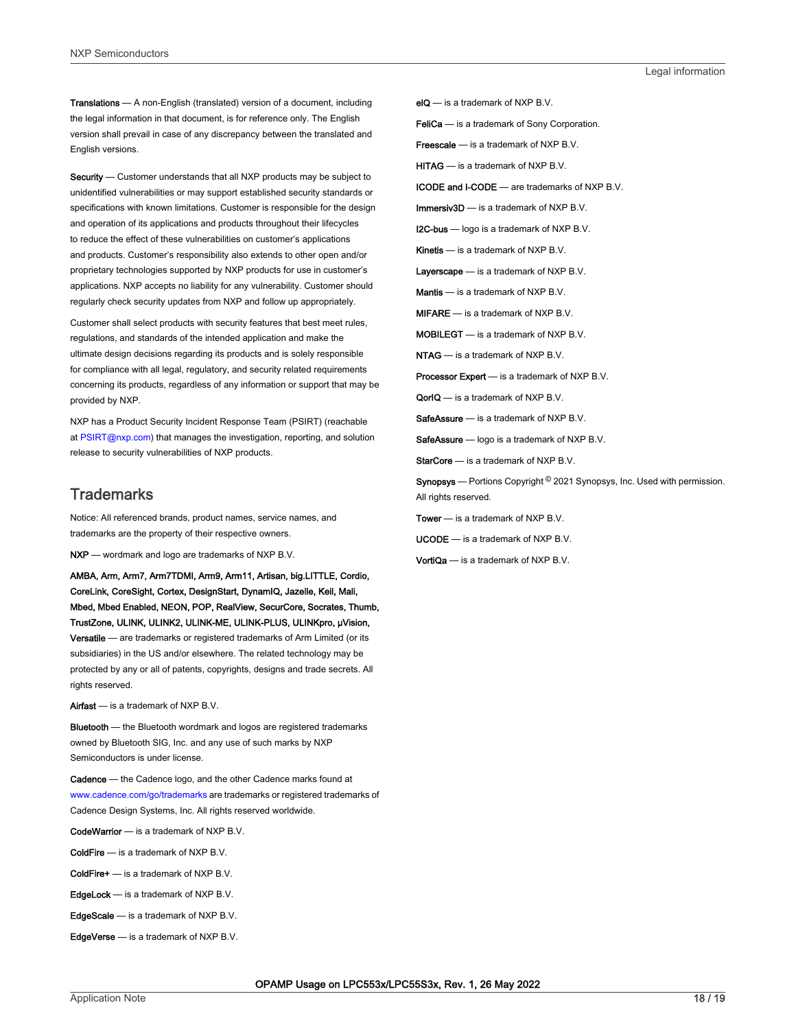Translations — A non-English (translated) version of a document, including the legal information in that document, is for reference only. The English version shall prevail in case of any discrepancy between the translated and English versions.

Security - Customer understands that all NXP products may be subject to unidentified vulnerabilities or may support established security standards or specifications with known limitations. Customer is responsible for the design and operation of its applications and products throughout their lifecycles to reduce the effect of these vulnerabilities on customer's applications and products. Customer's responsibility also extends to other open and/or proprietary technologies supported by NXP products for use in customer's applications. NXP accepts no liability for any vulnerability. Customer should regularly check security updates from NXP and follow up appropriately.

Customer shall select products with security features that best meet rules, regulations, and standards of the intended application and make the ultimate design decisions regarding its products and is solely responsible for compliance with all legal, regulatory, and security related requirements concerning its products, regardless of any information or support that may be provided by NXP.

NXP has a Product Security Incident Response Team (PSIRT) (reachable at [PSIRT@nxp.com\)](mailto:PSIRT@nxp.com) that manages the investigation, reporting, and solution release to security vulnerabilities of NXP products.

#### **Trademarks**

Notice: All referenced brands, product names, service names, and trademarks are the property of their respective owners.

NXP — wordmark and logo are trademarks of NXP B.V.

AMBA, Arm, Arm7, Arm7TDMI, Arm9, Arm11, Artisan, big.LITTLE, Cordio, CoreLink, CoreSight, Cortex, DesignStart, DynamIQ, Jazelle, Keil, Mali, Mbed, Mbed Enabled, NEON, POP, RealView, SecurCore, Socrates, Thumb, TrustZone, ULINK, ULINK2, ULINK-ME, ULINK-PLUS, ULINKpro, μVision, Versatile — are trademarks or registered trademarks of Arm Limited (or its subsidiaries) in the US and/or elsewhere. The related technology may be protected by any or all of patents, copyrights, designs and trade secrets. All rights reserved.

Airfast — is a trademark of NXP B.V.

**Bluetooth** — the Bluetooth wordmark and logos are registered trademarks owned by Bluetooth SIG, Inc. and any use of such marks by NXP Semiconductors is under license.

Cadence — the Cadence logo, and the other Cadence marks found at [www.cadence.com/go/trademarks](http://www.cadence.com/go/trademarks) are trademarks or registered trademarks of Cadence Design Systems, Inc. All rights reserved worldwide.

CodeWarrior — is a trademark of NXP B.V.

- ColdFire is a trademark of NXP B.V.
- ColdFire+ is a trademark of NXP B.V.
- EdgeLock is a trademark of NXP B.V.
- EdgeScale is a trademark of NXP B.V.
- EdgeVerse is a trademark of NXP B.V.

elQ - is a trademark of NXP B.V.

FeliCa - is a trademark of Sony Corporation.

**Freescale** — is a trademark of NXP B.V.

HITAG — is a trademark of NXP B.V.

ICODE and I-CODE — are trademarks of NXP B.V.

Immersiv3D — is a trademark of NXP B.V.

**I2C-bus** — logo is a trademark of NXP B.V.

Kinetis - is a trademark of NXP B.V.

Layerscape - is a trademark of NXP B.V.

Mantis - is a trademark of NXP B.V.

MIFARE — is a trademark of NXP B.V.

MOBILEGT — is a trademark of NXP B.V.

NTAG — is a trademark of NXP B.V.

Processor Expert - is a trademark of NXP B.V.

QorIQ - is a trademark of NXP B.V.

SafeAssure — is a trademark of NXP B.V.

SafeAssure - logo is a trademark of NXP B.V.

StarCore - is a trademark of NXP B.V.

Synopsys - Portions Copyright <sup>©</sup> 2021 Synopsys, Inc. Used with permission. All rights reserved.

Tower — is a trademark of NXP B.V.

UCODE — is a trademark of NXP B.V.

VortiQa — is a trademark of NXP B.V.